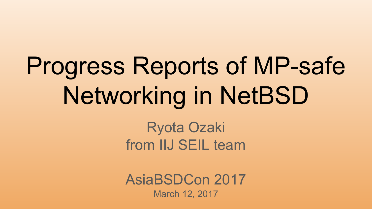# Progress Reports of MP-safe Networking in NetBSD

Ryota Ozaki from IIJ SEIL team

AsiaBSDCon 2017 March 12, 2017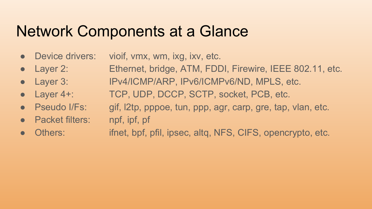## Network Components at a Glance

- Device drivers: vioif, vmx, wm, ixg, ixv, etc.
- Layer 2: Ethernet, bridge, ATM, FDDI, Firewire, IEEE 802.11, etc.
- Layer 3: IPv4/ICMP/ARP, IPv6/ICMPv6/ND, MPLS, etc.
- Layer 4+: TCP, UDP, DCCP, SCTP, socket, PCB, etc.
- Pseudo I/Fs: gif, l2tp, pppoe, tun, ppp, agr, carp, gre, tap, vlan, etc.
- Packet filters: npf, ipf, pf
- Others: ifnet, bpf, pfil, ipsec, altq, NFS, CIFS, opencrypto, etc.
-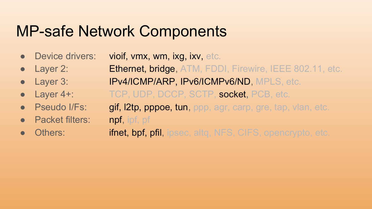## MP-safe Network Components

- Device drivers: vioif, vmx, wm, ixg, ixv, etc.
- Layer 2: **Ethernet, bridge, ATM, FDDI, Firewire, IEEE 802.11, etc.**
- Layer 3: IPv4/ICMP/ARP, IPv6/ICMPv6/ND, MPLS, etc.
- -
- Packet filters: **npf**, ipf, pf
- 

• Layer 4+: TCP, UDP, DCCP, SCTP, socket, PCB, etc. **Pseudo I/Fs:** gif, l2tp, pppoe, tun, ppp, agr, carp, gre, tap, vlan, etc.

• Others: **ifnet, bpf, pfil, ipsec, altg, NFS, CIFS, opencrypto, etc.**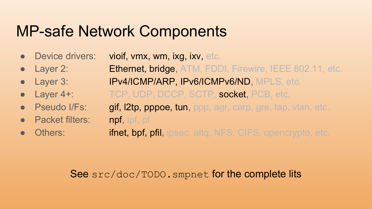#### MP-safe Network Components

- Device drivers: vioif, vmx, wm, ixg, ixv, etc.
- Layer 2: **Ethernet, bridge**, ATM, FDDI, Firewire, IEEE 802.11, etc.
- Layer 3: IPv4/ICMP/ARP, IPv6/ICMPv6/ND, MPLS, etc.
- Layer 4+: TCP, UDP, DCCP, SCTP, socket, PCB, etc.
	- **Pseudo I/Fs:** gif, l2tp, pppoe, tun, ppp, agr, carp, gre, tap, vlan, etc. **Packet filters: npf**, **ipf**, **pf**
- Others: **ifnet, bpf, pfil, ipsec, altg, NFS, CIFS, opencrypto, etc.**

#### See src/doc/TODO.smpnet for the complete lits